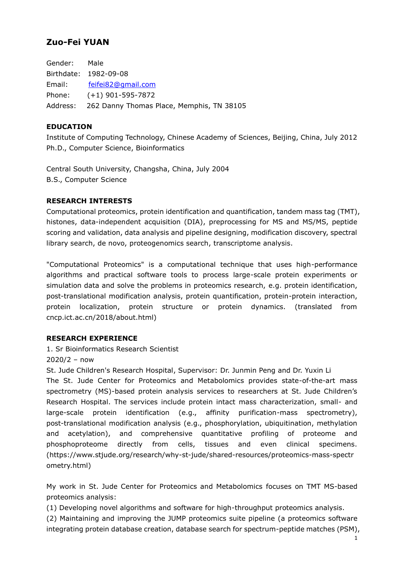# **Zuo-Fei YUAN**

Gender: Male Birthdate: 1982-09-08 Email: [feifei82@gmail.com](mailto:feifei82@gmail.com) Phone: (+1) 901-595-7872 Address: 262 Danny Thomas Place, Memphis, TN 38105

#### **EDUCATION**

Institute of Computing Technology, Chinese Academy of Sciences, Beijing, China, July 2012 Ph.D., Computer Science, Bioinformatics

Central South University, Changsha, China, July 2004 B.S., Computer Science

#### **RESEARCH INTERESTS**

Computational proteomics, protein identification and quantification, tandem mass tag (TMT), histones, data-independent acquisition (DIA), preprocessing for MS and MS/MS, peptide scoring and validation, data analysis and pipeline designing, modification discovery, spectral library search, de novo, proteogenomics search, transcriptome analysis.

"Computational Proteomics" is a computational technique that uses high-performance algorithms and practical software tools to process large-scale protein experiments or simulation data and solve the problems in proteomics research, e.g. protein identification, post-translational modification analysis, protein quantification, protein-protein interaction, protein localization, protein structure or protein dynamics. (translated from cncp.ict.ac.cn/2018/about.html)

#### **RESEARCH EXPERIENCE**

# 1. Sr Bioinformatics Research Scientist

2020/2 – now

St. Jude Children's Research Hospital, Supervisor: Dr. Junmin Peng and Dr. Yuxin Li The St. Jude Center for Proteomics and Metabolomics provides state-of-the-art mass spectrometry (MS)-based protein analysis services to researchers at St. Jude Children's Research Hospital. The services include protein intact mass characterization, small- and large-scale protein identification (e.g., affinity purification-mass spectrometry), post-translational modification analysis (e.g., phosphorylation, ubiquitination, methylation and acetylation), and comprehensive quantitative profiling of proteome and phosphoproteome directly from cells, tissues and even clinical specimens. (https://www.stjude.org/research/why-st-jude/shared-resources/proteomics-mass-spectr ometry.html)

My work in St. Jude Center for Proteomics and Metabolomics focuses on TMT MS-based proteomics analysis:

(1) Developing novel algorithms and software for high-throughput proteomics analysis.

(2) Maintaining and improving the JUMP proteomics suite pipeline (a proteomics software integrating protein database creation, database search for spectrum-peptide matches (PSM),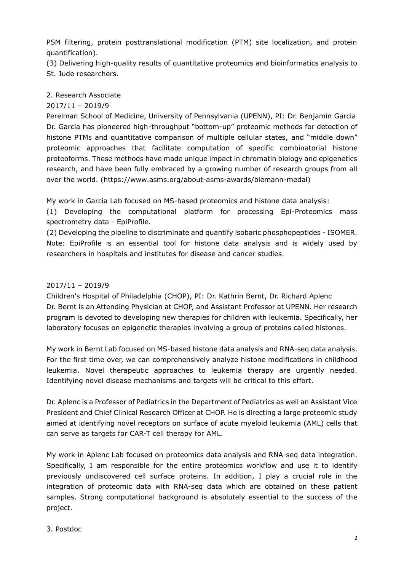PSM filtering, protein posttranslational modification (PTM) site localization, and protein quantification).

(3) Delivering high-quality results of quantitative proteomics and bioinformatics analysis to St. Jude researchers.

## 2. Research Associate

## 2017/11 – 2019/9

Perelman School of Medicine, University of Pennsylvania (UPENN), PI: Dr. Benjamin Garcia Dr. Garcia has pioneered high-throughput "bottom-up" proteomic methods for detection of histone PTMs and quantitative comparison of multiple cellular states, and "middle down" proteomic approaches that facilitate computation of specific combinatorial histone proteoforms. These methods have made unique impact in chromatin biology and epigenetics research, and have been fully embraced by a growing number of research groups from all over the world. (https://www.asms.org/about-asms-awards/biemann-medal)

My work in Garcia Lab focused on MS-based proteomics and histone data analysis:

(1) Developing the computational platform for processing Epi-Proteomics mass spectrometry data - EpiProfile.

(2) Developing the pipeline to discriminate and quantify isobaric phosphopeptides - ISOMER. Note: EpiProfile is an essential tool for histone data analysis and is widely used by researchers in hospitals and institutes for disease and cancer studies.

#### 2017/11 – 2019/9

Children's Hospital of Philadelphia (CHOP), PI: Dr. Kathrin Bernt, Dr. Richard Aplenc Dr. Bernt is an Attending Physician at CHOP, and Assistant Professor at UPENN. Her research program is devoted to developing new therapies for children with leukemia. Specifically, her laboratory focuses on epigenetic therapies involving a group of proteins called histones.

My work in Bernt Lab focused on MS-based histone data analysis and RNA-seq data analysis. For the first time over, we can comprehensively analyze histone modifications in childhood leukemia. Novel therapeutic approaches to leukemia therapy are urgently needed. Identifying novel disease mechanisms and targets will be critical to this effort.

Dr. Aplenc is a Professor of Pediatrics in the Department of Pediatrics as well an Assistant Vice President and Chief Clinical Research Officer at CHOP. He is directing a large proteomic study aimed at identifying novel receptors on surface of acute myeloid leukemia (AML) cells that can serve as targets for CAR-T cell therapy for AML.

My work in Aplenc Lab focused on proteomics data analysis and RNA-seq data integration. Specifically, I am responsible for the entire proteomics workflow and use it to identify previously undiscovered cell surface proteins. In addition, I play a crucial role in the integration of proteomic data with RNA-seq data which are obtained on these patient samples. Strong computational background is absolutely essential to the success of the project.

#### 3. Postdoc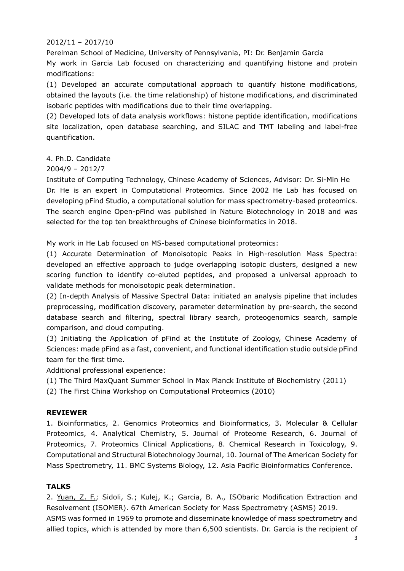# 2012/11 – 2017/10

Perelman School of Medicine, University of Pennsylvania, PI: Dr. Benjamin Garcia My work in Garcia Lab focused on characterizing and quantifying histone and protein modifications:

(1) Developed an accurate computational approach to quantify histone modifications, obtained the layouts (i.e. the time relationship) of histone modifications, and discriminated isobaric peptides with modifications due to their time overlapping.

(2) Developed lots of data analysis workflows: histone peptide identification, modifications site localization, open database searching, and SILAC and TMT labeling and label-free quantification.

# 4. Ph.D. Candidate

# 2004/9 – 2012/7

Institute of Computing Technology, Chinese Academy of Sciences, Advisor: Dr. Si-Min He Dr. He is an expert in Computational Proteomics. Since 2002 He Lab has focused on developing pFind Studio, a computational solution for mass spectrometry-based proteomics. The search engine Open-pFind was published in Nature Biotechnology in 2018 and was selected for the top ten breakthroughs of Chinese bioinformatics in 2018.

My work in He Lab focused on MS-based computational proteomics:

(1) Accurate Determination of Monoisotopic Peaks in High-resolution Mass Spectra: developed an effective approach to judge overlapping isotopic clusters, designed a new scoring function to identify co-eluted peptides, and proposed a universal approach to validate methods for monoisotopic peak determination.

(2) In-depth Analysis of Massive Spectral Data: initiated an analysis pipeline that includes preprocessing, modification discovery, parameter determination by pre-search, the second database search and filtering, spectral library search, proteogenomics search, sample comparison, and cloud computing.

(3) Initiating the Application of pFind at the Institute of Zoology, Chinese Academy of Sciences: made pFind as a fast, convenient, and functional identification studio outside pFind team for the first time.

Additional professional experience:

(1) The Third MaxQuant Summer School in Max Planck Institute of Biochemistry (2011)

(2) The First China Workshop on Computational Proteomics (2010)

#### **REVIEWER**

1. Bioinformatics, 2. Genomics Proteomics and Bioinformatics, 3. Molecular & Cellular Proteomics, 4. Analytical Chemistry, 5. Journal of Proteome Research, 6. Journal of Proteomics, 7. Proteomics Clinical Applications, 8. Chemical Research in Toxicology, 9. Computational and Structural Biotechnology Journal, 10. Journal of The American Society for Mass Spectrometry, 11. BMC Systems Biology, 12. Asia Pacific Bioinformatics Conference.

#### **TALKS**

2. Yuan, Z. F.; Sidoli, S.; Kulej, K.; Garcia, B. A., ISObaric Modification Extraction and Resolvement (ISOMER). 67th American Society for Mass Spectrometry (ASMS) 2019. ASMS was formed in 1969 to promote and disseminate knowledge of mass spectrometry and allied topics, which is attended by more than 6,500 scientists. Dr. Garcia is the recipient of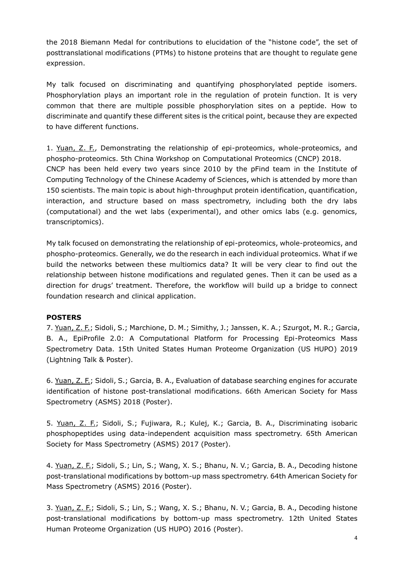the 2018 Biemann Medal for contributions to elucidation of the "histone code", the set of posttranslational modifications (PTMs) to histone proteins that are thought to regulate gene expression.

My talk focused on discriminating and quantifying phosphorylated peptide isomers. Phosphorylation plays an important role in the regulation of protein function. It is very common that there are multiple possible phosphorylation sites on a peptide. How to discriminate and quantify these different sites is the critical point, because they are expected to have different functions.

1. Yuan, Z. F., Demonstrating the relationship of epi-proteomics, whole-proteomics, and phospho-proteomics. 5th China Workshop on Computational Proteomics (CNCP) 2018. CNCP has been held every two years since 2010 by the pFind team in the Institute of Computing Technology of the Chinese Academy of Sciences, which is attended by more than 150 scientists. The main topic is about high-throughput protein identification, quantification, interaction, and structure based on mass spectrometry, including both the dry labs (computational) and the wet labs (experimental), and other omics labs (e.g. genomics, transcriptomics).

My talk focused on demonstrating the relationship of epi-proteomics, whole-proteomics, and phospho-proteomics. Generally, we do the research in each individual proteomics. What if we build the networks between these multiomics data? It will be very clear to find out the relationship between histone modifications and regulated genes. Then it can be used as a direction for drugs' treatment. Therefore, the workflow will build up a bridge to connect foundation research and clinical application.

# **POSTERS**

7. Yuan, Z. F.; Sidoli, S.; Marchione, D. M.; Simithy, J.; Janssen, K. A.; Szurgot, M. R.; Garcia, B. A., EpiProfile 2.0: A Computational Platform for Processing Epi-Proteomics Mass Spectrometry Data. 15th United States Human Proteome Organization (US HUPO) 2019 (Lightning Talk & Poster).

6. Yuan, Z. F.; Sidoli, S.; Garcia, B. A., Evaluation of database searching engines for accurate identification of histone post-translational modifications. 66th American Society for Mass Spectrometry (ASMS) 2018 (Poster).

5. Yuan, Z. F.; Sidoli, S.; Fujiwara, R.; Kulej, K.; Garcia, B. A., Discriminating isobaric phosphopeptides using data-independent acquisition mass spectrometry. 65th American Society for Mass Spectrometry (ASMS) 2017 (Poster).

4. Yuan, Z. F.; Sidoli, S.; Lin, S.; Wang, X. S.; Bhanu, N. V.; Garcia, B. A., Decoding histone post-translational modifications by bottom-up mass spectrometry. 64th American Society for Mass Spectrometry (ASMS) 2016 (Poster).

3. Yuan, Z. F.; Sidoli, S.; Lin, S.; Wang, X. S.; Bhanu, N. V.; Garcia, B. A., Decoding histone post-translational modifications by bottom-up mass spectrometry. 12th United States Human Proteome Organization (US HUPO) 2016 (Poster).